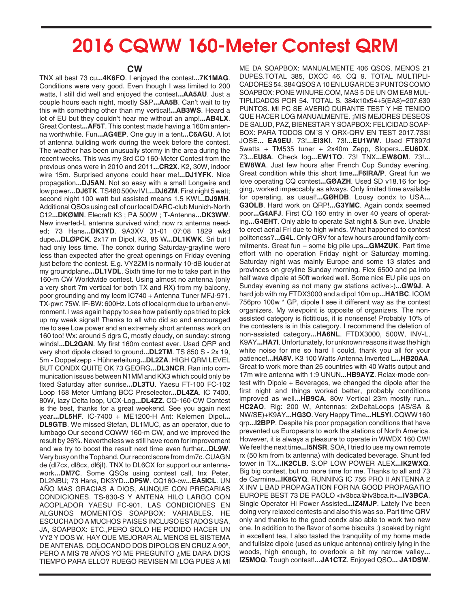## **2016 CQWW 160-Meter Contest QRM**

## **CW**

TNX all best 73 cu**...4K6FO**. I enjoyed the contest**...7K1MAG**. Conditions were very good. Even though I was limited to 200 watts, I still did well and enjoyed the contest**...AA5AU**. Just a couple hours each night, mostly S&P**...AA5B**. Can't wait to try this with something other than my vertical!**...AB3WS**. Heard a lot of EU but they couldn't hear me without an amp!**...AB4LX**. Great Contest**...AF5T**. This contest made having a 160m antenna worthwhile. Fun**...AG4EP**. One guy in a tent**...C6AGU**. A lot of antenna building work during the week before the contest. The weather has been unusually stormy in the area during the recent weeks. This was my 3rd CQ 160-Meter Contest from the previous ones were in 2010 and 2011**...CR2X**. K2, 30W, indoor wire 15m. Surprised anyone could hear me!**...DJ1YFK**. Nice propagation**...DJ5AN**. Not so easy with a small Longwire and low power**...DJ6TK**. TS480 500w IVL**...DJ6ZM**. First night 5 watt; second night 100 watt but assisted means 1.5 KW!**...DJ9MH**. Additional QSOs using call of our local DARC-club Munich-North C12**...DKØMN**. Elecraft K3 ; PA 500W ; T-Antenna**...DK3WW**. New inverted-L antenna survived wind; now rx antenna needed; 73 Hans**...DK3YD**. 9A3XV 31-01 07:08 1829 wkd dupe**...DLØPCK**. 2x17 m Dipol, K3, 85 W**...DL1KWK**. Sri but I had only less time. The condx during Saturday-grayline were less than expected after the great openings on Friday evening just before the contest. E.g. VY2ZM is normally 10-dB louder at my groundplane**...DL1VDL**. Sixth time for me to take part in the 160-m CW Worldwide contest. Using almost no antenna (only a very short 7m vertical for both TX and RX) from my balcony, poor grounding and my Icom IC740 + Antenna Tuner MFJ-971. TX-pwr: 75W. IF-BW: 600Hz. Lots of local qrm due to urban environment. I was again happy to see how patiently ops tried to pick up my weak signal! Thanks to all who did so and encouraged me to see Low power and an extremely short antennas work on 160 too! Wx: around 5 dgrs C, mostly cloudy, on sunday: strong winds!**...DL2GAN**. My first 160m contest ever. Used QRP and very short dipole closed to ground**...DL2TM**. TS 850 S - 2x 19, 5m - Doppelzepp - Hühnerleitung**...DL2ZA**. HIGH QRM LEVEL BUT CONDX QUITE OK 73 GEORG**...DL3NCR**. Ran into communication issues between N1MM and KX3 which could only be fixed Saturday after sunrise**...DL3TU**. Yaesu FT-100 FC-102 Loop 168 Meter Umfang BCC Preselector**...DL4ZA**. IC 7400, 80W, lazy Delta loop, UCX-Log**...DL4ZZ**. CQ-160-CW Contest is the best, thanks for a great weekend. See you again next year**...DL5HF**. IC-7400 + ME1200-H Ant: Kelemen Dipol**... DL9GTB**. We missed Stefan, DL1MUC, as an operator, due to lumbago Our second CQWW 160-m CW, and we improved the result by 26%. Nevertheless we still have room for improvement and we try to boost the result next time even further**...DL9W**. Very busy on the Topband. Our record score from dm7c. CUAGN de (dl7cx, dl8cx, dl6jf). TNX to DL6CX for support our antennawork**...DM7C**. Some QSOs using contest call, tnx Peter, DL2NBU; 73 Hans, DK3YD**...DP5W**. CQ160-cw**...EA5ICL**. UN AÑO MAS GRACIAS A DIOS, AUNQUE CON PRECARIAS CONDICIONES. TS-830-S Y ANTENA HILO LARGO CON ACOPLADOR YAESU FC-901. LAS CONDICIONES EN ALGUNOS MOMENTOS SOAPBOX: VARIABLES. HE ESCUCHADO A MUCHOS PAISES INCLUSO ESTADOS USA, JA, SOAPBOX: ETC.,PERO SOLO HE PODIDO HACER UN VY2 Y DOS W. HAY QUE MEJORAR AL MENOS EL SISTEMA DE ANTENAS. COLOCANDO DOS DIPOLOS EN CRUZ A 90º, PERO A MIS 78 AÑOS YO ME PREGUNTO ¿ME DARA DIOS TIEMPO PARA ELLO? RUEGO REVISEN MI LOG PUES A MI

ME DA SOAPBOX: MANUALMENTE 406 QSOS. MENOS 21 DUPES.TOTAL 385, DXCC 46. CQ 9. TOTAL MULTIPLI-CADORES 54. 384 QSOS A 10 EN LUGAR DE 3 PUNTOS COMO SOAPBOX: PONE WINURE.COM, MAS 5 DE UN OM EA8 MUL-TIPLICADOS POR 54. TOTAL S. 384x10x54+5(EA8)=207.630 PUNTOS. MI PC SE AVERIÓ DURANTE TEST Y HE TENIDO QUE HACER LOG MANUALMENTE. ¡MIS MEJORES DESEOS DE SALUD, PAZ, BIENESTAR Y SOAPBOX: FELICIDAD SOAP-BOX: PARA TODOS OM´S Y QRX-QRV EN TEST 2017.73S! JOSE**... EA9EU**. 73!**...EI3KI**. 73!**...EU1WW**. Used FT897d 5watts + TM535 tuner + 2x40m Zepp, Slopers**...EU6DX**. 73**...EU8A**. Check log**...EW1TO**. 73! TNX**...EW8OM**. 73!**... EW8WA**. Just few hours after French Cup Sunday evening. Great condition while this short time**...F6IRA/P**. Great fun we love operating CQ contest**...GØAZH**. Used SD v18.16 for logging, worked impeccably as always. Only limited time available for operating, as usual!**...GØHDB**. Lousy condx to USA**... G3OLB**. Hard work on QRP!**...G3YMC**. Again condx seemed poor**...G4AFJ**. First CQ 160 entry in over 40 years of operating**...G4EHT**. Only able to operate Sat night & Sun eve. Unable to erect aerial Fri due to high winds. What happened to contest politeness?**...G4L**. Only QRV for a few hours around family commitments. Great fun – some big pile ups**...GM4ZUK**. Part time effort with no operation Friday night or Saturday morning. Saturday night was mainly Europe and some 13 states and provinces on greyline Sunday morning. Flex 6500 and pa into half wave dipole at 50ft worked well. Some nice EU pile ups on Sunday evening as not many gw stations active:-)**...GW9J**. A hard job with my FTDX3000 and a dipol 10m up**...HA1BC**. ICOM 756pro 100w \* GP, dipole I see it different way as the contest organizers. My wievpoint is opposite of organizers. The nonassisted category is fictitious, it is nonsense! Probably 10% of the contesters is in this category. I recommend the deletion of non-assisted category**...HA6NL**. FTDX3000, 500W, INV-L, K9AY**...HA7I**. Unfortunately, for unknown reasons it was the high white noise for me so hard I could, thank you all for your patience!**...HA8V**. K3 100 Watts Antenna Inverted L**...HB20AA**. Great to work more than 25 countries with 40 Watts output and 17m wire antenna with 1:9 UNUN**...HB9AYZ**. Relax-mode contest with Dipole + Beverages, we changed the dipole after the first night and things worked better, probably conditions improved as well**...HB9CA**. 80w Vertical 23m mostly run**... HC2AO**. Rig: 200 W, Antennas: 2xDeltaLoops (AS/SA & NW/SE)+K9AY**...HG3O**. Very Happy Time**...HL5YI**. CQWW 160 qrp**...I2BPP**. Despite his poor propagation conditions that have prevented us Europeans to work the stations of North America. However, it is always a pleasure to operate in WWDX 160 CW! We feel the next time**...I5NSR**. SOA, I tried to use my own remote rx (50 km from tx antenna) with dedicated beverage. Shunt fed tower in TX**...IK2CLB**. S.OP LOW POWER ALEX**...IK2WXQ**. Big big contest, but no more time for me. Thanks to all and 73 de Carmine**...IK8GYQ**. RUNNING IC 756 PRO II ANTENNA 2 X INV L BAD PROPAGATION FOR NA GOOD PROPAGATIO EUROPE BEST 73 DE PAOLO <iv3bca@iv3bca.it>**...IV3BCA**. Single Operator Hi Power Assisted**...IZ4MJP**. Lately I've been doing very relaxed contests and also this was so. Part time QRV only and thanks to the good condx also able to work two new one. In addition to the flavor of some biscuits :) soaked by night in excellent tea, I also tasted the tranquility of my home made and fullsize dipole (used as unique antenna) entirely lying in the woods, high enough, to overlook a bit my narrow valley**... IZ5MOQ**. Tough contest!**...JA1CTZ**. Enjoyed QSO**... JA1DSW**.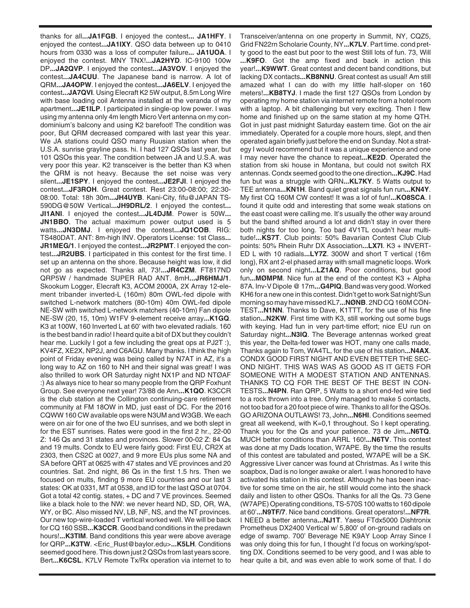thanks for all**...JA1FGB**. I enjoyed the contest**... JA1HFY**. I enjoyed the contest**...JA1IXY**. QSO data between up to 0410 hours from 0330 was a loss of computer failure**... JA1UOA**. I enjoyed the contest. MNY TNX!**...JA2HYD**. IC-9100 100w DP**...JA2QVP**. I enjoyed the contest**...JA3VOV**. I enjoyed the contest**...JA4CUU**. The Japanese band is narrow. A lot of QRM**...JA4OPW**. I enjoyed the contest**...JA6ELV**. I enjoyed the contest**...JA7QVI**. Using Elecraft K2 5W output, 8.5m Long Wire with base loading coil Antenna installed at the veranda of my apartment**...JE1ILP**. I participated in single-op low power. I was using my antenna only 4m length Micro Vert antenna on my condominium's balcony and using K2 barefoot! The condition was poor, But QRM decreased compared with last year this year. We JA stations could QSO many Ruusian station when the U.S.A. sunrise grayline pass. hi. I had 127 QSOs last year, but 101 QSOs this year. The condition between JA and U.S.A. was very poor this year. K2 transceiver is the better than K3 when the QRM is not heavy. Because the set noise was very silent**...JE1SPY**. I enjoyed the contest**...JE2FJI**. I enjoyed the contest**...JF3ROH**. Great contest. Rest 23:00-08:00; 22:30- 08:00. Total: 18h 30m...JH4UYB. Kani-City, fifu@JAPAN TS-590DG@50W Vertical**...JH9DRL/2**. I enjoyed the contest**... JI1ANI**. I enjoyed the contest**...JL4DJM**. Power is 50W**... JN1BBO**. The actual maximum power output used is 5 watts**...JN3DMJ**. I enjoyed the contest**...JQ1COB**. RIG: TS480DAT. ANT: 8m-high INV. Operators License: 1st Class**... JR1MEG/1**. I enjoyed the contest**...JR2PMT**. I enjoyed the contest**...JR2UBS**. I participated in this contest for the first time. I set up an antenna on the shore. Because height was low, it did not go as expected. Thanks all, 73!**...JR4CZM**. FT817ND QRP5W / handmade SUPER RAD ANT. 8mH**...JR6HMJ/1**. Skookum Logger, Elecraft K3, ACOM 2000A, 2X Array 12-element tribander inverted-L (160m) 80m OWL-fed dipole with switched L-network matchers (80-10m) 40m OWL-fed dipole NE-SW with switched L-network matchers (40-10m) Fan dipole NE-SW (20, 15, 10m) W1FV 9-element receive array**...K1GQ**. K3 at 100W, 160 Inverted L at 60' with two elevated radials. 160 is the best band in radio! I heard quite a bit of DX but they couldn't hear me. Luckily I got a few including the great ops at PJ2T :), KV4FZ, XE2X, NP2J, and C6AGU. Many thanks. I think the high point of Friday evening was being called by N7AT in AZ, it's a long way to AZ on 160 to NH and their signal was great! I was also thrilled to work OR Saturday night NX1P and ND NTØAF :) As always nice to hear so many people from the QRP Foxhunt Group. See everyone next year! 73/88 de Ann**...K1QO**. K3CCR is the club station at the Collington continuing-care retirement community at FM 18OW in MD, just east of DC. For the 2016 CQWW 160 CW available ops were N3UM and W3GB. We each were on air for one of the two EU sunrises, and we both slept in for the EST sunrises. Rates were good in the first 2 hr., 22-00 Z: 146 Qs and 31 states and provinces. Slower 00-02 Z: 84 Qs and 19 mults. Condx to EU were fairly good: First EU, CR2X at 2303, then CS2C at 0027, and 9 more EUs plus some NA and SA before QRT at 0625 with 47 states and VE provinces and 20 countries. Sat. 2nd night, 86 Qs in the first 1.5 hrs. Then we focused on mults, finding 9 more EU countries and our last 3 states: OK at 0331, MT at 0538, and ID for the last QSO at 0704. Got a total 42 contig. states, + DC and 7 VE provinces. Seemed like a black hole to the NW: we never heard ND, SD, OR, WA, WY, or BC. Also missed NV, LB, NF, NS, and the NT provinces. Our new top-wire-loaded T vertical worked well. We will be back for CQ 160 SSB**...K3CCR**. Good band conditions in the predawn hours!**...K3TIM**. Band conditions this year were above average for QRP**...K3TW**. <Eric\_Rust@baylor.edu>**...K5LH**. Conditions seemed good here. This down just 2 QSOs from last years score. Bert**...K6CSL**. K7LV Remote Tx/Rx operation via internet to to Transceiver/antenna on one property in Summit, NY, CQZ5, Grid FN22rn Scholarie County, NY**...K7LV**. Part time. cond pretty good to the east but poor to the west Still lots of fun. 73, Will **...K9FO**. Got the amp fixed and back in action this year!**...K9WWT**. Great contest and decent band conditions, but lacking DX contacts**...KB8NNU**. Great contest as usual! Am still amazed what I can do with my little half-sloper on 160 meters!**...KB8TYJ**. I made the first 127 QSOs from London by operating my home station via internet remote from a hotel room with a laptop. A bit challenging but very exciting. Then I flew home and finished up on the same station at my home QTH. Got in just past midnight Saturday eastern time. Got on the air immediately. Operated for a couple more hours, slept, and then operated again briefly just before the end on Sunday. Not a strategy I would recommend but it was a unique experience and one I may never have the chance to repeat**...KE2D**. Operated the station from ski house in Montana, but could not switch RX antennas. Condx seemed good to the one direction**...KJ9C**. Had fun but was a struggle with QRN**...KL7KY**. 5 Watts output to TEE antenna**...KN1H**. Band quiet great signals fun run**...KN4Y**. My first CQ 160M CW contest! It was a lof of fun!**...KO8SCA**. I found it quite odd and interesting that some weak stations on the east coast were calling me. It's usually the other way around but the band shifted around a lot and didn't stay in over there both nights for too long. Too bad 4V1TL coudn't hear multitude!**...KS7T**. Club points: 50% Bavarian Contest Club Club points: 50% Rhein Ruhr DX Association**...LX7I**. K3 + INVERT-ED L with 10 radials**...LY7Z**. 300W and short T vertical (16m long), RX ant 2-el phased array with small magnetic loops. Work only on second night**...LZ1AQ**. Poor conditions, but good fun**...MØMPM**. Nice fun at the end of the contest K3 + Alpha 87A. Inv-V Dipole @ 17m**...G4PIQ**. Band was very good. Worked KH6 for a new one in this contest. Didn't get to work Sat night/Sun morning so may have missed KL7**...NØNB**. 2ND CQ 160M CON-TEST**...N1NN**. Thanks to Dave, K1TTT, for the use of his fine station**...N2KW**. First time with K3, still working out some bugs with keying. Had fun in very part-time effort; nice EU run on Saturday night**...N3IQ**. The Beverage antennas worked great this year, the Delta-fed tower was HOT, many one calls made, Thanks again to Tom, WA4TL, for the use of his station**...N4AX**. CONDX GOOD FIRST NIGHT AND EVEN BETTER THE SEC-OND NIGHT. THIS WAS WAS AS GOOD AS IT GETS FOR SOMEONE WITH A MODEST STATION AND ANTENNAS. THANKS TO CQ FOR THE BEST OF THE BEST IN CON-TESTS**...N4PN**. Ran QRP, 5 Watts to a short end-fed wire tied to a rock thrown into a tree. Only managed to make 5 contacts, not too bad for a 20 foot piece of wire. Thanks to all for the QSOs. GO ARIZONA OUTLAWS! 73, John**...N6HI**. Conditions seemed great all weekend, with K=0,1 throughout. So I kept operating. Thank you for the Qs and your patience. 73 de Jim**...N6TQ**. MUCH better conditions than ARRL 160!**...N6TV**. This contest was done at my Dads location, W7APE. By the time the results of this contest are tabulated and posted, W7APE will be a SK. Aggressive Liver cancer was found at Christmas. As I write this soapbox, Dad is no longer awake or alert. I was honored to have activated his station in this contest. Although he has been inactive for some time on the air, he still would come into the shack daily and listen to other QSOs. Thanks for all the Qs. 73 Gene (W7APE) Operating conditions, TS-570S 100 watts to 160 dipole at 60'**...N9TF/7**. Nice band conditions. Great operators!**...NF7R**. I NEED a better antenna**...NJ1T**. Yaesu FTdx5000 Dishtronix Prometheus DX2400 Vertical w/ 5,800' of on-ground radials on edge of swamp. 700' Beverage NE K9AY Loop Array Since I was only doing this for fun, I thought I'd focus on working/spotting DX. Conditions seemed to be very good, and I was able to hear quite a bit, and was even able to work some of that. I do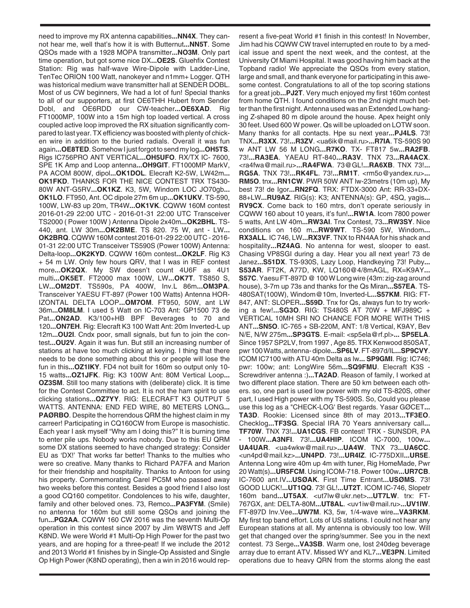need to improve my RX antenna capabilities**...NN4X**. They cannot hear me, well that's how it is with Butternut**...NN5T**. Some QSOs made with a 1928 MOPA transmitter**...NO3M**. Only part time operation, but got some nice DX**...OE2S**. Gluehfix Contest Station: Rig was half-wave Wire-Dipole with Ladder-Line, TenTec ORION 100 Watt, nanokeyer and n1mm+ Logger. QTH was historical medium wave transmitter hall at SENDER DOBL. Most of us CW beginners, We had a lot of fun! Special thanks to all of our supporters, at first OE6THH Hubert from Sender Dobl, and OE6RDD our CW-teacher**...OE6XAD**. Rig FT1000MP, 100W into a 15m high top loaded vertical. A cross coupled active loop improved the RX situation significantly compared to last year. TX efficiency was boosted with plenty of chicken wire in addition to the buried radials. Overall it was fun again**...OE8TED**. Somehow I just forgot to send my log**...OH5TS**. Rigs IC756PRO ANT VERTICAL**...OH5UFO**. RX/TX IC- 7600, SPE 1K Amp and Loop antenna**...OH9GIT**. FT1000MP MarkV, PA ACOM 800W, dipol**...OK1DOL**. Elecraft K2-5W, LW42m**... OK1FKD**. THANKS FOR THE NICE CONTEST TRX TS430- 80W ANT-G5RV**...OK1KZ**. K3, 5W, Windom LOC JO70gb**... OK1LO**. FT950, Ant. OC dipole 27m 6m up**...OK1UKV**. TS-590, 100W, LW-83 up 20m, TR4W**...OK1VK**. CQWW 160M contest 2016-01-29 22:00 UTC - 2016-01-31 22:00 UTC Transceiver TS2000 ( Power 100W ) Antenna Dipole 2x40m**...OK2BHL**. TS-440, ant. LW 30m**...OK2BME**. TS 820. 75 W, ant - LW**... OK2BRQ**. CQWW 160M contest 2016-01-29 22:00 UTC - 2016- 01-31 22:00 UTC Transceiver TS590S (Power 100W) Antenna: Delta-loop**...OK2KYD**. CQWW 160m contest**...OK2LF**. Rig K3 + 54 m LW. Only few hours QRV, that I was in REF contest more**...OK2QX**. My SW doesn't count 4U6F as 4U1 multi**...OK5ET**. FT2000 max 100W, LW**...OK7T**. TS850 S, LW**...OM2DT**. TS590s, PA 400W, Inv.L 86m**...OM3PA**. Transceiver YAESU FT-897 (Power 100 Watts) Antenna HOR-IZONTAL DELTA LOOP**...OM7OM**. FT950, 50W, ant LW 36m**...OM8LM**. I used 5 Watt on IC-703 Ant: GP1500 73 de Pat**...ON2AD**. K3/100+HB BPF Beverages to 70 and 120**...ON7EH**. Rig: Elecraft K3 100 Watt Ant: 20m Inverted-L up 12m**...OU2I**. Cndx poor, small signals, but fun to join the contest**...OU2V**. Again it was fun. But still an increasing number of stations at have too much clicking at keying. I thing that there needs to be done something about this or people will lose the fun in this**...OZ1IKY**. FD4 not built for 160m so output only 10- 15 watts**...OZ1JFK**. Rig: K3 100W Ant: 80M Vertical Loop**... OZ3SM**. Still too many stations with (deliberate) click. It is time for the Contest Committee to act. It is not the ham spirit to use clicking stations**...OZ7YY**. RIG: ELECRAFT K3 OUTPUT 5 WATTS. ANTENNA: END FED WIRE, 80 METERS LONG**... PAØRBO**. Despite the horrendous QRM the highest claim in my carreer! Participating in CQ160CW from Europe is masochistic. Each year I ask myself "Why am I doing this?" It is burning time to enter pile ups. Nobody works nobody. Due to this EU QRM some DX stations seemed to have changed strategy: Consider EU as 'DX!' That works far better! Thanks to the multies who were so creative. Many thanks to Richard PA7FA and Marion for their friendship and hospitality. Thanks to Antoon for using his property. Commemorating Carel PC5M who passed away two weeks before this contest. Besides a good friend I also lost a good CQ160 competitor. Condolences to his wife, daughter, family and other beloved ones. 73, Remco**...PA3FYM**. (Smile) no antenna for 160m but still some QSOs and joining the fun**...PG2AA**. CQWW 160 CW 2016 was the seventh Multi-Op operation in this contest since 2007 by Jim W8WTS and Jeff K8ND. We were World #1 Multi-Op High Power for the past two years, and are hoping for a three-peat! If we include the 2012 and 2013 World #1 finishes by in Single-Op Assisted and Single Op High Power (K8ND operating), then a win in 2016 would rep-

resent a five-peat World #1 finish in this contest! In November, Jim had his CQWW CW travel interrupted en route to by a medical issue and spent the next week, and the contest, at the University Of Miami Hospital. It was good having him back at the Topband radio! We appreciate the QSOs from every station, large and small, and thank everyone for participating in this awesome contest. Congratulations to all of the top scoring stations for a great job**...PJ2T**. Very much enjoyed my first 160m contest from home QTH. I found conditions on the 2nd night much better than the first night. Antenna used was an Extended Low hanging Z-shaped 80 m dipole around the house. Apex height only 30 feet. Used 600 W power. Qs will be uploaded on LOTW soon. Many thanks for all contacts. Hpe su next year**...PJ4LS**. 73! TNX**...R3XX**. 73!**...R3ZV**. <ua6ik@mail.ru>**...R7IA**. TS-590S 90 w ANT LW 56 M LONG**...R7KO**. TX- FT817 5w**...RA2FB**. 73!**...RA3EA**. YAEAU RT-840**...RA3V**. TNX 73**...RA4ACX**. <ra4fwa@mail.ru>**...RA4FWA**. 73@GL!**...RA6XB**. TNX 73!**... RG5A**. TNX 73!**...RK4FL**. 73!**...RM1T**. <rm5o@yandex.ru>**... RM5O**. tnx**...RN1CW**. PWR 50W ANT lw-23metrs (10m up), My best 73! de Igor**...RN2FQ**. TRX: FTDX-3000 Ant: RR-33+DX-88+LW**...RU9AZ**. RIG(s): K3; ANTENNA(s): GP, 4SQ, yagis**... RV9CX**. Come back to 160 mtrs, don't operate seriously in CQWW 160 about 10 years, it's fun!**...RW1A**. Icom 7800 power 5 watts, Ant LW 40m**...RW3AI**. Tnx Contest, 73**...RW3SY**. Nice conditions on 160 m**...RW9WT**. TS-590 5W, Windom**... RX3ALL**. IC 746, LW**...RX3VF**. TNX to RN4AA for his shack and hospitality**...RZ4AG**. No antenna for west, slooper to east. Chasing VP8SGI during a day. Hear you all next year! 73 de Janez**...S51DX**. TS-930S, Lazy Loop, Handkeying 73! Puby**... S53AR**. FT2K, A77D, KW, LQ160@4/8mAGL, RX=K9AY**... S57C**. Yaesu FT-897D @ 100 W Long wire (43m: zig-zag around house), 3-7m up 73s and thanks for the Qs Miran**...S57EA**. TS-480SAT(100W), Windom@10m, Inverted-L**...S57KM**. RIG: FT-847, ANT: SLOPER**...S59D**. Tnx for Qs, always fun to try working a few!**...SG3O**. RIG: TS480S AT 70W + MFJ989C + VERTICAL 10MH SRI NO CHANCE FOR MORE WITH THIS ANT**...SN5O**. IC-765 + SB-220M, ANT: 1/8 Vertical, K9AY, Bev N/E, N/W 275m**...SP3GTS**. E-mail: <sp5ela@rf.pl>**... SP5ELA**. Since 1957 SP2LV, from 1997 , Age 85. TRX Kenwood 850SAT, pwr 100 Watts, antenna- dipole**...SP6LV**. FT-897d/IL**...SP9CVY**. ICOM IC7100 with ATU 40m Delta as lw**... SP9GMI**. Rig: IC746; pwr: 100w; ant: LongWire 56m**...SQ9FMU**. Elecraft K3S - Screwdriver antenna :)**...TA2AD**. Reason of family, I worked at two different place station. There are 50 km between each others. so, one part is used low power with my old TS-820S, other part, I used High power with my TS-590S. So, Could you please use this log as a "CHECK-LOG' Best regards. Yasar GØCET**... TA3D**. Rookie: Licensed since 8th of may 2013**...TF3EO**. Checklog**...TF3SG**. Special IRA 70 Years anniversary call**... TF70W**. TNX 73!**...UA1CGS**. FB contest! TRX - SUNSDR, PA - 100W**...A3NFI**. 73!**...UA4HIP**. ICOM IC-7000, 100w**... UA4UAR**. <ua4wkw@mail.ru>**...UA4W**. TNX 73**...UA6CC**. <un4pd@mail.kz>**...UN4PD**. 73!**...UR4IZ**. IC-775DXII**...UR5E**. Antenna Long wire 40m up 4m with tuner, Rig HomeMade, Pwr 20 Watt(s)**...UR5FCM**. Using ICOM-718. Power 100w**...UR7CB**. IC-7600 ant.IV**...USØAK**. First Time Entrant**...USØMS**. 73! GOOD LUCK!**...UT1QQ**. 73! GL!**...UT2T**. ICOM IC-746, Slopetr 160m band**...UT5AX**. <ut7lw@ukr.net>**...UT7LW**. trx: FT-767GX, ant: DELTA-80M**...UT8AL**. <uv1iw@mail.ru>**...UV1IW**. FT-897D Inv.Vee**...UW7M**. K3, 5w, 1/4-wave wire**...VA3RKM**. My first top band effort. Lots of US stations. I could not hear any European stations at all. My antenna is obviously too low. Will get that changed over the spring/summer. See you in the next contest. 73 Serge**...VA3SB**. Warm one, lost 240deg beverage array due to errant ATV. Missed WY and KL7**...VE3PN**. Limited operations due to heavy QRN from the storms along the east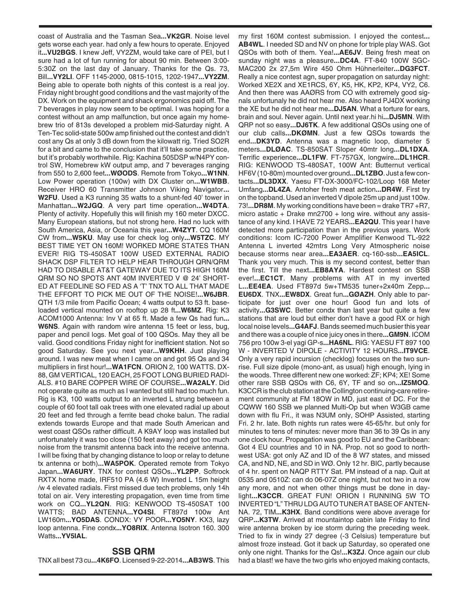coast of Australia and the Tasman Sea**...VK2GR**. Noise level gets worse each year. had only a few hours to operate. Enjoyed it**...VU2BGS**. I knew Jeff, VY2ZM, would take care of PEI, but I sure had a lot of fun running for about 90 min. Between 3:00- 5:30Z on the last day of January. Thanks for the Qs. 73, Bill**...VY2LI**. OFF 1145-2000, 0815-1015, 1202-1947**...VY2ZM**. Being able to operate both nights of this contest is a real joy. Friday night brought good conditions and the vast majority of the DX. Work on the equipment and shack ergonomics paid off. The 7 beverages in play now seem to be optimal. I was hoping for a contest without an amp malfunction, but once again my homebrew trio of 813s developed a problem mid-Saturday night. A Ten-Tec solid-state 500w amp finished out the contest and didn't cost any Qs at only 3 dB down from the kilowatt rig. Tried SO2R for a bit and came to the conclusion that it'll take some practice, but it's probably worthwhile. Rig: Kachina 505DSP w/N4PY control SW, Homebrew kW output amp, and 7 beverages ranging from 550 to 2,600 feet**...WØODS**. Remote from Tokyo**...W1NN**. Low Power operation (100w) with DX Cluster on**...W1WBB**. Receiver HRO 60 Transmitter Johnson Viking Navigator**... W2FU**. Used a K3 running 35 watts to a shunt-fed 40' tower in Manhattan**...W2JGQ**. A very part time operation**...W4DTA**. Plenty of activity. Hopefully this will finish my 160 meter DXCC. Many European stations, but not strong here. Had no luck with South America, Asia, or Oceania this year**...W4ZYT**. CQ 160M CW from**...W5KU**. May use for check log only**...W5TZC**. MY BEST TIME YET ON 160M! WORKED MORE STATES THAN EVER! RIG TS-450SAT 100W USED EXTERNAL RADIO SHACK DSP FILTER TO HELP HEAR THROUGH QRN/QRM HAD TO DISABLE AT&T GATEWAY DUE TO ITS HIGH 160M QRM SO NO SPOTS ANT 40M INVERTED V @ 24' SHORT-ED AT FEEDLINE SO FED AS A 'T' TNX TO ALL THAT MADE THE EFFORT TO PICK ME OUT OF THE NOISE!**...W6JBR**. QTH 1/3 mile from Pacific Ocean; 4 watts output to 53 ft. baseloaded vertical mounted on rooftop up 28 ft**...W6MZ**. Rig: K3 ACOM1000 Antenna: Inv V at 65 ft. Made a few Qs had fun**... W6NS**. Again with random wire antenna 15 feet or less, bug, paper and pencil logs. Met goal of 100 QSOs. May they all be valid. Good conditions Friday night for inefficient station. Not so good Saturday. See you next year**...W9KHH**. Just playing around. I was new meat when I came on and got 95 Qs and 34 multipliers in first hour!**...WA1FCN**. ORION 2, 100 WATTS. DX-88, GM VERTICAL, 120 EACH, 25 FOOT LONG BURIED RADI-ALS. #10 BARE COPPER WIRE OF COURSE**...WA2ALY**. Did not operate quite as much as I wanted but still had too much fun. Rig is K3, 100 watts output to an inverted L strung between a couple of 60 foot tall oak trees with one elevated radial up about 20 feet and fed through a ferrite bead choke balun. The radial extends towards Europe and that made South American and west coast QSOs rather difficult. A K9AY loop was installed but unfortunately it was too close (150 feet away) and got too much noise from the transmit antenna back into the receive antenna. I will be fixing that by changing distance to loop or relay to detune tx antenna or both)**...WA5POK**. Operated remote from Tokyo Japan**...WA6URY**. TNX for contest QSOs**...YL2PP**. Softrock RXTX home made, IRF510 PA (4.6 W) Inverted L 15m height /w 4 elevated radials. First missed due tech problems, only 14h total on air. Very interesting propagation, even time from time work on CQ**...YL2QN**. RIG: KENWOOD TS-450SAT 100 WATTS; BAD ANTENNA**...YO4SI**. FT897d 100w Ant LW160m**...YO5DAS**. CONDX: VY POOR**...YO5NY**. KX3, lazy loop antenna. Fine condx**...YO8RIX**. Antenna Isotron 160. 300 Watts**...YV5IAL**.

## **SSB QRM**

TNX all best 73 cu**...4K6FO**. Licensed 9-22-2014**...AB3WS**. This

my first 160M contest submission. I enjoyed the contest**... AB4WL**. I needed SD and NV on phone for triple play WAS. Got QSOs with both of them. Yea!**...AE6JV**. Being fresh meat on sunday night was a pleasure**...DC4A**. FT-840 100W SGC-MAC200 2x 27,5m Wire 450 Ohm Hühnerleiter**...DG3FCT**. Really a nice contest agn, super propagation on saturday night: Worked XE2X and XE1RCS, 6Y, K5, HK, KP2, KP4, VY2, C6. And then there was AAØRS from CO with extremely good signals unfortunaly he did not hear me. Also heard PJ4DX working the XE but he did not hear me**...DJ5AN**. What a torture for ears, brain and soul. Never again. Until next year.hi hi**...DJ5MN**. With QRP not so easy**...DJ6TK**. A few additional QSOs using one of our club calls**...DKØMN**. Just a few QSOs towards the end**...DK3YD**. Antenna was a magnetic loop, diameter 5 meters**...DLØAC**. TS-850SAT Sloper 40mtr long**...DL1DXA**. Terrific experience**...DL1FW**. FT-757GX, longwire**...DL1HCR**. RIG: KENWOOD TS-480SAT, 100W Ant: Butternut vertical HF6V (10-80m) mounted over ground**...DL1ZBO**. Just a few contacts**...DL3DXX**. Yaesu FT-DX-3000/FC-102/Loop 168 Meter Umfang**...DL4ZA**. Antoher fresh meat action**...DR4W**. First try on the topband. Used an inverted V dipole 25m up and just 100w. 73!**...DR8M**. My working conditions have been = drake TR7 +R7, micro astatic + Drake mn2700 + long wire. without any assistance of any kind. I HAVE 72 YEARS**...EA2QU**. This year I have detected more participation than in the previous years. Work conditions: Icom IC-7200 Power Amplifier Kenwood TL-922 Antenna L inverted 42mtrs Long Very Atmospheric noise because storms near area**...EA3AER**. cq-160-ssb**...EA5ICL**. Thank you very much. This is my second contest, better than the first. Till the next**...EB8AYA**. Hardest contest on SSB ever!**...EC1CT**. Many problems with AT in my inverted L**...EE4EA**. Used FT897d 5w+TM535 tuner+2x40m Zepp**... EU6DX**. TNX**...EW8DX**. Great fun**...GØAZH**. Only able to participate for just over one hour! Good fun and lots of activity**...G3SWC**. Better condx than last year but quite a few stations that are loud but either don't have a good RX or high local noise levels**...G4AFJ**. Bands seemed much busier this year and there was a couple of nice juicy ones in there**...GM9N**. ICOM 756 pro 100w 3-el yagi GP-s**...HA6NL**. RIG: YAESU FT 897 100 W - INVERTED V DIPOLE - ACTIVITY 12 HOURS**...IT9VCE**. Only a very rapid incursion (checklog) focuses on the two sunrise. Full size dipole (mono-ant, as usual) high enough, lying in the woods. Three different new one worked: ZF; KP4; XE! Some other rare SSB QSOs with C6, 6Y, TF and so on**...IZ5MOQ**. K3CCR is the club station at the Collington continuing-care retirement community at FM 18OW in MD, just east of DC. For the CQWW 160 SSB we planned Multi-Op but when W3GB came down with flu Fri., it was N3UM only, SOHP Assisted, starting Fri. 2 hr. late. Both nights run rates were 45-65/hr. but only for minutes to tens of minutes: never more than 36 to 39 Qs in any one clock hour. Propagation was good to EU and the Caribbean: Got 4 EU countries and 10 in NA. Prop. not so good to northwest USA: got only AZ and ID of the 8 W7 states, and missed CA, and ND, NE, and SD in WØ. Only 12 hr. BIC, partly because of 4 hr. spent on NAQP RTTY Sat. PM instead of a nap. Quit at 0535 and 0510Z: can do 06-07Z one night, but not two in a row any more, and not when other things must be done in daylight**...K3CCR**. GREAT FUN! ORION I RUNNING 5W TO INVERTED "L" THRU LDG AUTO TUNER AT BASE OF ANTEN-NA. 72, TIM**...K3HX**. Band conditions were above average for QRP**...K3TW**. Arrived at mountaintop cabin late Friday to find wire antenna broken by ice storm during the preceding week. Tried to fix in windy 27 degree (-3 Celsius) temperature but almost froze instead. Got it back up Saturday, so operated one only one night. Thanks for the Qs!**...K3ZJ**. Once again our club had a blast! we have the two girls who enjoyed making contacts,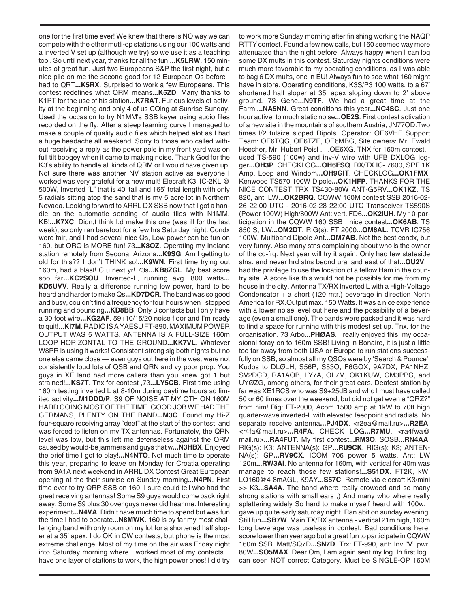one for the first time ever! We knew that there is NO way we can compete with the other mutli-op stations using our 100 watts and a inverted V set up (although we try) so we use it as a teaching tool. So until next year, thanks for all the fun!**...K5LRW**. 150 minutes of great fun. Just two Europeans S&P the first night, but a nice pile on me the second good for 12 European Qs before I had to QRT**...K5RX**. Surprised to work a few Europeans. This contest redefines what QRM means**...K5ZD**. Many thanks to K1PT for the use of his station**...K7RAT**. Furious levels of activity at the beginning and only 4 of us CQing at Sunrise Sunday. Used the occasion to try N1MM's SSB keyer using audio files recorded on the fly. After a steep learning curve I managed to make a couple of quality audio files which helped alot as I had a huge headache all weekend. Sorry to those who called without receiving a reply as the power pole in my front yard was on full tilt boogey when it came to making noise. Thank God for the K3's ability to handle all kinds of QRM or I would have given up. Not sure there was another NV station active as everyone I worked was very grateful for a new mult! Elecraft K3, IC-2KL @ 500W, Inverted "L" that is 40' tall and 165' total length with only 5 radials sitting atop the sand that is my 5 acre lot in Northern Nevada. Looking forward to ARRL DX SSB now that I got a handle on the automatic sending of audio files with N1MM. KB!**...K7XC**. Didn;t think I;d make this one (was ill for the last week), so only ran barefoot for a few hrs Saturday night. Condx were fair, and I had several nice Qs, Low power can be fun on 160, but QRO is MORE fun! 73**...K8OZ**. Operating my Indiana station remotely from Sedona, Arizona**...K9SG**. Am I getting to old for this?? I don't THINK so!**...K9WN**. First time trying out 160m, had a blast! C u next yr! 73s**...KB8ZGL**. My best score soo far**...KC2SOU**. Inverted-L, running avg. 800 watts**... KD5UVV**. Really a difference running low power, hard to be heard and harder to make Qs**...KD7DCR**. The band was so good and busy, couldn't find a frequency for four hours when I stopped running and pouncing**...KD8BB**. Only 3 contacts but I only have a 30 foot wire**...KG2AF**. 59+10/15/20 noise floor and I'm ready to quit!**...KI7M**. RADIO IS A YAESU FT-890. MAXIMUM POWER OUTPUT WAS 5 WATTS. ANTENNA IS A FULL-SIZE 160m LOOP HORIZONTAL TO THE GROUND**...KK7VL**. Whatever W8PR is using it works! Consistent strong sig both nights but no one else came close — even guys out here in the west were not consistently loud lots of QSB and QRN and vy poor prop. You guys in XE land had more callers than you knew got 1 but strained!**...KS7T**. Tnx for contest ,73**...LY5CB**. First time using 160m testing inverted L at 8-10m during daytime hours so limited activity**...M1DDD/P**. S9 OF NOISE AT MY QTH ON 160M HARD GOING MOST OF THE TIME. GOOD JOB WE HAD THE GERMANS, PLENTY ON THE BAND**...M3C**. Found my Hi-Z four-square receiving array "deaf" at the start of the contest, and was forced to listen on my TX antennas. Fortunately, the QRN level was low, but this left me defenseless against the QRM caused by would-be jammers and guys that w**...N3HBX**. Enjoyed the brief time I got to play!**...N4NTO**. Not much time to operate this year, preparing to leave on Monday for Croatia operating from 9A1A next weekend in ARRL DX Contest Great European opening at the their sunrise on Sunday morning**...N4PN**. First time ever to try QRP SSB on 160. I sure could tell who had the great receiving antennas! Some S9 guys would come back right away. Some S9 plus 30 over guys never did hear me. Interesting experiment**...N4VA**. Didn't have much time to spend but was fun the time I had to operate**...N8MWK**. 160 is by far my most challenging band with only room on my lot for a shortened half sloper at a 35' apex. I do OK in CW contests, but phone is the most extreme challenge! Most of my time on the air was Friday night into Saturday morning where I worked most of my contacts. I have one layer of stations to work, the high power ones! I did try

to work more Sunday morning after finishing working the NAQP RTTY contest. Found a few new calls, but 160 seemed way more attenuated than the night before. Always happy when I can log some DX mults in this contest. Saturday nights conditions were much more favorable to my operating conditions, as I was able to bag 6 DX mults, one in EU! Always fun to see what 160 might have in store. Operating conditions, K3S/P3 100 watts, to a 67' shortened half sloper at 35' apex sloping down to 2' above ground. 73 Gene**...N9TF**. We had a great time at the Farm!**...NA5NN**. Great conditions this yesr**...NC4SC**. Just one hour active, to much static noise**...OE2S**. First contest activation of a new site in the mountains of southern Austria, JN77OD.Two times l/2 fulsize sloped Dipols. Operator: OE6VHF Support Team: OE6TQG, OE6TZE, OE6MBG, Site owners: Mr. Ewald Hoecher, Mr. Hubert Peisl . . .OE6XG. TNX for 160m contest. I used TS-590 (100w) and inv-V wire with UFB DXLOG logger**...OH3P**. CHECKLOG**...OH6FSQ**. RX/TX IC- 7600, SPE 1K Amp, Loop and Windom**...OH9GIT**. CHECKLOG**...OK1FMX**. Kenwood TS570 100W Dipole**...OK1HFP**. THANKS FOR THE NICE CONTEST TRX TS430-80W ANT-G5RV**...OK1KZ**. TS 820, ant: LW**...OK2BRQ**. CQWW 160M contest SSB 2016-02- 26 22:00 UTC - 2016-02-28 22:00 UTC Transceiver TS590S (Power 100W) High/800W Ant: vert. FD6**...OK2IUH**. My 10-participation in the CQWW 160 SSB , nice contest**...OK6AB**. TS 850 S, LW**...OM2DT**. RIG(s): FT 2000**...OM6AL**. TCVR IC756 100W. Multiband Dipole Ant**...OM7AB**. Not the best condx, but very funny. Also many stns complaining about who is the owner of the cq-frq. Next year will try it again. Only had few stateside stns. and never hrd stns beond ural and east of that**...OU2V**. I had the privilage to use the location of a fellow Ham in the country site. A score like this would not be possible for me from my house in the city. Antenna TX/RX Inverted L with a High-Voltage Condensator + a short (120 mtr.) beverage in direction North America for RX.Output max. 150 Watts. It was a nice experience with a lower noise level out here and the possibility of a beverage (even a small one). The bands were packed and it was hard to find a space for running with this modest set up. Tnx. for the organisation. 73 Arbo**...PHØAS**. I really enjoyed this, my occasional foray on to 160m SSB! Living in Bonaire, it is just a little too far away from both USA or Europe to run stations successfully on SSB, so almost all my QSOs were by 'Search & Pounce'. Kudos to DLØLH, S56P, S53O, F6GOX, 9A7DX, PA1NHZ, SV2DCD, RA1AOB, LY7A, OL7M, OK1KUW, GM3PPG, and UYØZG, among others, for their great ears. Deafest station by far was XE1RCS who was S9+25dB and who I must have called 50 or 60 times over the weekend, but did not get even a "QRZ?" from him! Rig: FT-2000, Acom 1500 amp at 1kW to 70ft high quarter-wave inverted-L with elevated feedpoint and radials. No separate receive antenna**...PJ4DX**. <r2ea@mail.ru>**...R2EA**. <r4fa@mail.ru>**...R4FA**. CHECK LOG**...R7MU**. <ra4fwa@ mail.ru>**...RA4FUT**. My first contest**...RM3O**. SOSB**...RN4AA**. RIG(s): K3; ANTENNA(s): GP**...RU9CK**. RIG(s): K3; ANTEN-NA(s): GP**...RV9CX**. ICOM 706 power 5 watts, Ant: LW 120m**...RW3AI**. No antenna for 160m, with vertical for 40m was manage to reach those few stations!**...S51DX**. FT2K, kW, LQ160@4-8mAGL, K9AY**...S57C**. Remote via elecraft K3/mini >> K3**...SA4A**. The band where really crowded and so many strong stations with small ears ;) And many who where really splattering widely So hard to make myself heard with 100w. I gave up quite early saturday night. Ran abit on sunday evening. Still fun**...SB7W**. Main TX/RX antenna - vertical 21m high, 160m long beverage was useless in contest. Bad conditions here, score lower than year ago but a great fun to participate in CQWW 160m SSB. Matt/SQ7D**...SN7D**. Trx: FT-990, ant: Inv "V" pwr. 80W**...SO5MAX**. Dear Om, I am again sent my log. In first log I can seen NOT correct Category. Must be SINGLE-OP 160M